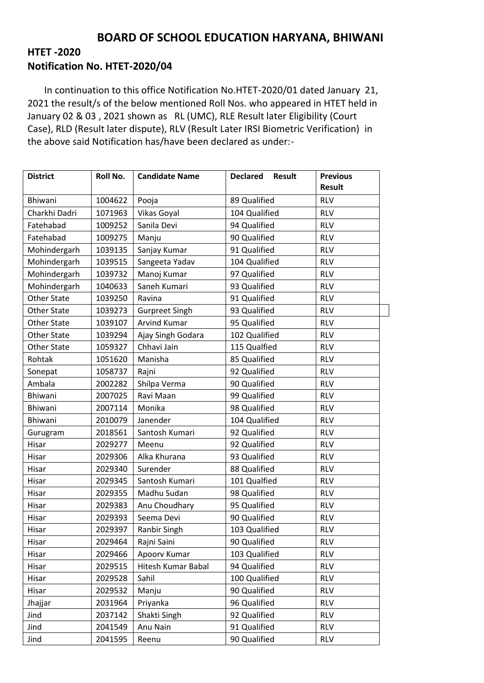## **BOARD OF SCHOOL EDUCATION HARYANA, BHIWANI**

## **HTET -2020 Notification No. HTET-2020/04**

 In continuation to this office Notification No.HTET-2020/01 dated January 21, 2021 the result/s of the below mentioned Roll Nos. who appeared in HTET held in January 02 & 03 , 2021 shown as RL (UMC), RLE Result later Eligibility (Court Case), RLD (Result later dispute), RLV (Result Later IRSI Biometric Verification) in the above said Notification has/have been declared as under:-

| <b>District</b>    | Roll No. | <b>Candidate Name</b> | <b>Declared</b><br><b>Result</b> | <b>Previous</b><br><b>Result</b> |  |
|--------------------|----------|-----------------------|----------------------------------|----------------------------------|--|
| Bhiwani            | 1004622  | Pooja                 | 89 Qualified                     | <b>RLV</b>                       |  |
| Charkhi Dadri      | 1071963  | Vikas Goyal           | 104 Qualified                    | <b>RLV</b>                       |  |
| Fatehabad          | 1009252  | Sanila Devi           | 94 Qualified                     | <b>RLV</b>                       |  |
| Fatehabad          | 1009275  | Manju                 | 90 Qualified                     | <b>RLV</b>                       |  |
| Mohindergarh       | 1039135  | Sanjay Kumar          | 91 Qualified                     | <b>RLV</b>                       |  |
| Mohindergarh       | 1039515  | Sangeeta Yadav        | 104 Qualified                    | <b>RLV</b>                       |  |
| Mohindergarh       | 1039732  | Manoj Kumar           | 97 Qualified                     | <b>RLV</b>                       |  |
| Mohindergarh       | 1040633  | Saneh Kumari          | 93 Qualified                     | <b>RLV</b>                       |  |
| <b>Other State</b> | 1039250  | Ravina                | 91 Qualified                     | <b>RLV</b>                       |  |
| <b>Other State</b> | 1039273  | <b>Gurpreet Singh</b> | 93 Qualified                     | <b>RLV</b>                       |  |
| <b>Other State</b> | 1039107  | <b>Arvind Kumar</b>   | 95 Qualified                     | <b>RLV</b>                       |  |
| <b>Other State</b> | 1039294  | Ajay Singh Godara     | 102 Qualified                    | <b>RLV</b>                       |  |
| <b>Other State</b> | 1059327  | Chhavi Jain           | 115 Qualfied                     | <b>RLV</b>                       |  |
| Rohtak             | 1051620  | Manisha               | 85 Qualified                     | <b>RLV</b>                       |  |
| Sonepat            | 1058737  | Rajni                 | 92 Qualified                     | <b>RLV</b>                       |  |
| Ambala             | 2002282  | Shilpa Verma          | 90 Qualified                     | <b>RLV</b>                       |  |
| Bhiwani            | 2007025  | Ravi Maan             | 99 Qualified                     | <b>RLV</b>                       |  |
| Bhiwani            | 2007114  | Monika                | 98 Qualified                     | <b>RLV</b>                       |  |
| Bhiwani            | 2010079  | Janender              | 104 Qualified                    | <b>RLV</b>                       |  |
| Gurugram           | 2018561  | Santosh Kumari        | 92 Qualified                     | <b>RLV</b>                       |  |
| Hisar              | 2029277  | Meenu                 | 92 Qualified                     | <b>RLV</b>                       |  |
| Hisar              | 2029306  | Alka Khurana          | 93 Qualified                     | <b>RLV</b>                       |  |
| Hisar              | 2029340  | Surender              | 88 Qualified                     | <b>RLV</b>                       |  |
| Hisar              | 2029345  | Santosh Kumari        | 101 Qualfied                     | <b>RLV</b>                       |  |
| Hisar              | 2029355  | Madhu Sudan           | 98 Qualified                     | <b>RLV</b>                       |  |
| Hisar              | 2029383  | Anu Choudhary         | 95 Qualified                     | <b>RLV</b>                       |  |
| Hisar              | 2029393  | Seema Devi            | 90 Qualified                     | <b>RLV</b>                       |  |
| Hisar              | 2029397  | Ranbir Singh          | 103 Qualified                    | <b>RLV</b>                       |  |
| Hisar              | 2029464  | Rajni Saini           | 90 Qualified                     | <b>RLV</b>                       |  |
| Hisar              | 2029466  | Apoorv Kumar          | 103 Qualified                    | <b>RLV</b>                       |  |
| Hisar              | 2029515  | Hitesh Kumar Babal    | 94 Qualified                     | <b>RLV</b>                       |  |
| Hisar              | 2029528  | Sahil                 | 100 Qualified                    | <b>RLV</b>                       |  |
| Hisar              | 2029532  | Manju                 | 90 Qualified                     | <b>RLV</b>                       |  |
| Jhajjar            | 2031964  | Priyanka              | 96 Qualified                     | <b>RLV</b>                       |  |
| Jind               | 2037142  | Shakti Singh          | 92 Qualified                     | <b>RLV</b>                       |  |
| Jind               | 2041549  | Anu Nain              | 91 Qualified                     | <b>RLV</b>                       |  |
| Jind               | 2041595  | Reenu                 | 90 Qualified                     | <b>RLV</b>                       |  |